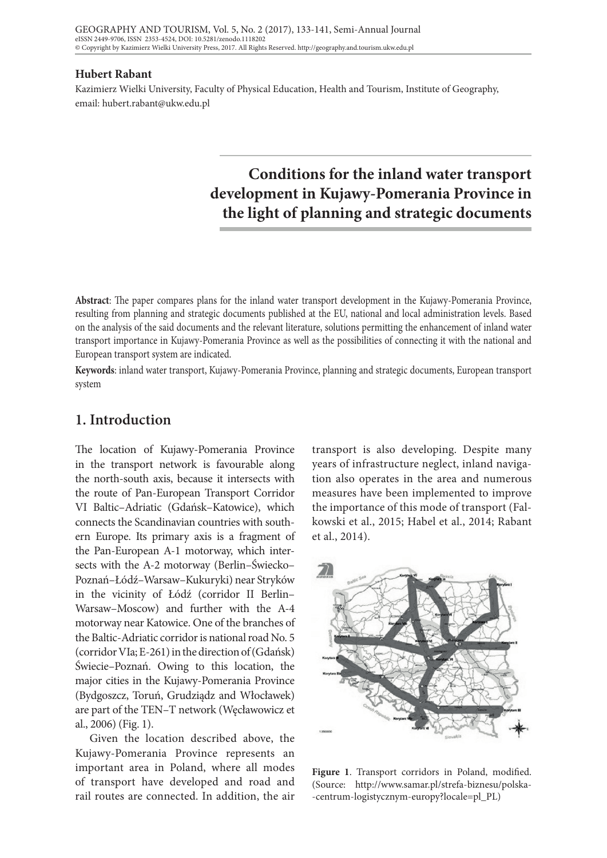#### **Hubert Rabant**

Kazimierz Wielki University, Faculty of Physical Education, Health and Tourism, Institute of Geography, email: hubert.rabant@ukw.edu.pl

# **Conditions for the inland water transport development in Kujawy-Pomerania Province in the light of planning and strategic documents**

**Abstract**: The paper compares plans for the inland water transport development in the Kujawy-Pomerania Province, resulting from planning and strategic documents published at the EU, national and local administration levels. Based on the analysis of the said documents and the relevant literature, solutions permitting the enhancement of inland water transport importance in Kujawy-Pomerania Province as well as the possibilities of connecting it with the national and European transport system are indicated.

**Keywords**: inland water transport, Kujawy-Pomerania Province, planning and strategic documents, European transport system

### **1. Introduction**

The location of Kujawy-Pomerania Province in the transport network is favourable along the north-south axis, because it intersects with the route of Pan-European Transport Corridor VI Baltic–Adriatic (Gdańsk–Katowice), which connects the Scandinavian countries with southern Europe. Its primary axis is a fragment of the Pan-European A-1 motorway, which intersects with the A-2 motorway (Berlin–Świecko– Poznań–Łódź–Warsaw–Kukuryki) near Stryków in the vicinity of Łódź (corridor II Berlin– Warsaw–Moscow) and further with the A-4 motorway near Katowice. One of the branches of the Baltic-Adriatic corridor is national road No. 5 (corridor VIa; E-261) in the direction of (Gdańsk) Świecie–Poznań. Owing to this location, the major cities in the Kujawy-Pomerania Province (Bydgoszcz, Toruń, Grudziądz and Włocławek) are part of the TEN–T network (Węcławowicz et al., 2006) (Fig. 1).

Given the location described above, the Kujawy-Pomerania Province represents an important area in Poland, where all modes of transport have developed and road and rail routes are connected. In addition, the air

transport is also developing. Despite many years of infrastructure neglect, inland navigation also operates in the area and numerous measures have been implemented to improve the importance of this mode of transport (Falkowski et al., 2015; Habel et al., 2014; Rabant et al., 2014).



**Figure 1**. Transport corridors in Poland, modified. (Source: http://www.samar.pl/strefa-biznesu/polska- -centrum-logistycznym-europy?locale=pl\_PL)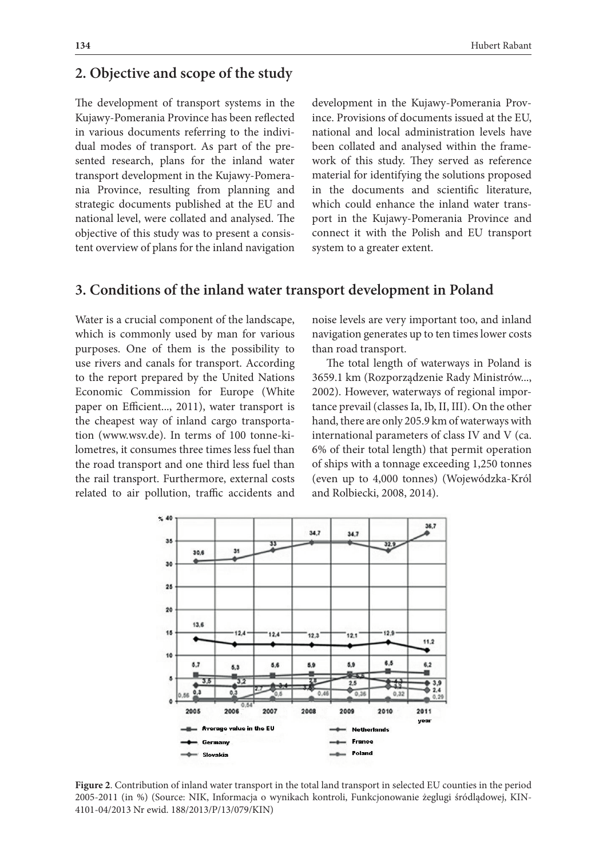### **2. Objective and scope of the study**

The development of transport systems in the Kujawy-Pomerania Province has been reflected in various documents referring to the individual modes of transport. As part of the presented research, plans for the inland water transport development in the Kujawy-Pomerania Province, resulting from planning and strategic documents published at the EU and national level, were collated and analysed. The objective of this study was to present a consistent overview of plans for the inland navigation development in the Kujawy-Pomerania Province. Provisions of documents issued at the EU, national and local administration levels have been collated and analysed within the framework of this study. They served as reference material for identifying the solutions proposed in the documents and scientific literature, which could enhance the inland water transport in the Kujawy-Pomerania Province and connect it with the Polish and EU transport system to a greater extent.

## **3. Conditions of the inland water transport development in Poland**

Water is a crucial component of the landscape, which is commonly used by man for various purposes. One of them is the possibility to use rivers and canals for transport. According to the report prepared by the United Nations Economic Commission for Europe (White paper on Efficient..., 2011), water transport is the cheapest way of inland cargo transportation (www.wsv.de). In terms of 100 tonne-kilometres, it consumes three times less fuel than the road transport and one third less fuel than the rail transport. Furthermore, external costs related to air pollution, traffic accidents and noise levels are very important too, and inland navigation generates up to ten times lower costs than road transport.

The total length of waterways in Poland is 3659.1 km (Rozporządzenie Rady Ministrów..., 2002). However, waterways of regional importance prevail (classes Ia, Ib, II, III). On the other hand, there are only 205.9 km of waterways with international parameters of class IV and V (ca. 6% of their total length) that permit operation of ships with a tonnage exceeding 1,250 tonnes (even up to 4,000 tonnes) (Wojewódzka-Król and Rolbiecki, 2008, 2014).



**Figure 2**. Contribution of inland water transport in the total land transport in selected EU counties in the period 2005-2011 (in %) (Source: NIK, Informacja o wynikach kontroli, Funkcjonowanie żeglugi śródlądowej, KIN-4101-04/2013 Nr ewid. 188/2013/P/13/079/KIN)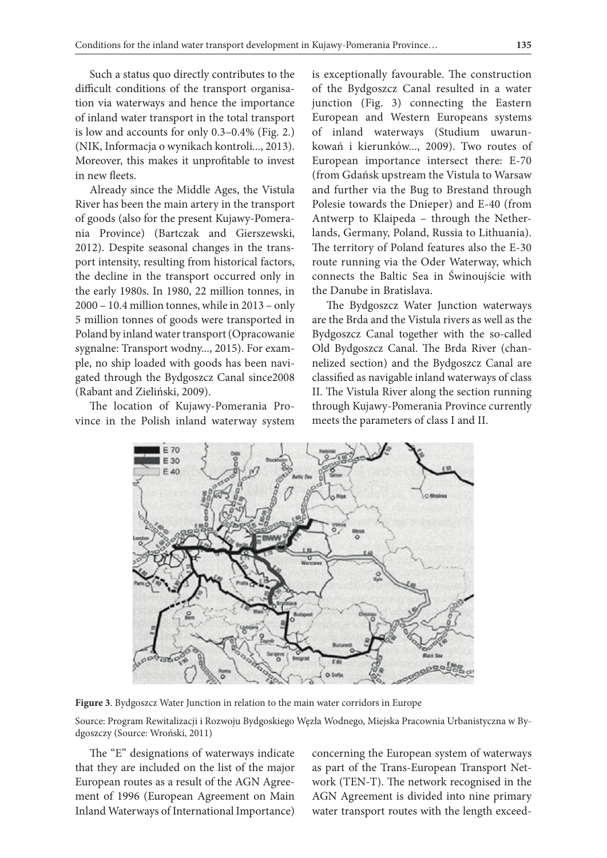Such a status quo directly contributes to the difficult conditions of the transport organisation via waterways and hence the importance of inland water transport in the total transport is low and accounts for only 0.3–0.4% (Fig. 2.) (NIK, Informacja o wynikach kontroli..., 2013). Moreover, this makes it unprofitable to invest in new fleets.

Already since the Middle Ages, the Vistula River has been the main artery in the transport of goods (also for the present Kujawy-Pomerania Province) (Bartczak and Gierszewski, 2012). Despite seasonal changes in the transport intensity, resulting from historical factors, the decline in the transport occurred only in the early 1980s. In 1980, 22 million tonnes, in 2000 – 10.4 million tonnes, while in 2013 – only 5 million tonnes of goods were transported in Poland by inland water transport (Opracowanie sygnalne: Transport wodny..., 2015). For example, no ship loaded with goods has been navigated through the Bydgoszcz Canal since2008 (Rabant and Zieliński, 2009).

The location of Kujawy-Pomerania Province in the Polish inland waterway system is exceptionally favourable. The construction of the Bydgoszcz Canal resulted in a water junction (Fig. 3) connecting the Eastern European and Western Europeans systems of inland waterways (Studium uwarunkowań i kierunków..., 2009). Two routes of European importance intersect there: E-70 (from Gdańsk upstream the Vistula to Warsaw and further via the Bug to Brestand through Polesie towards the Dnieper) and E-40 (from Antwerp to Klaipeda – through the Netherlands, Germany, Poland, Russia to Lithuania). The territory of Poland features also the E-30 route running via the Oder Waterway, which connects the Baltic Sea in Świnoujście with the Danube in Bratislava.

The Bydgoszcz Water Junction waterways are the Brda and the Vistula rivers as well as the Bydgoszcz Canal together with the so-called Old Bydgoszcz Canal. The Brda River (channelized section) and the Bydgoszcz Canal are classified as navigable inland waterways of class II. The Vistula River along the section running through Kujawy-Pomerania Province currently meets the parameters of class I and II.



**Figure 3**. Bydgoszcz Water Junction in relation to the main water corridors in Europe

Source: Program Rewitalizacji i Rozwoju Bydgoskiego Węzła Wodnego, Miejska Pracownia Urbanistyczna w Bydgoszczy (Source: Wroński, 2011)

The "E" designations of waterways indicate that they are included on the list of the major European routes as a result of the AGN Agreement of 1996 (European Agreement on Main Inland Waterways of International Importance) concerning the European system of waterways as part of the Trans-European Transport Network (TEN-T). The network recognised in the AGN Agreement is divided into nine primary water transport routes with the length exceed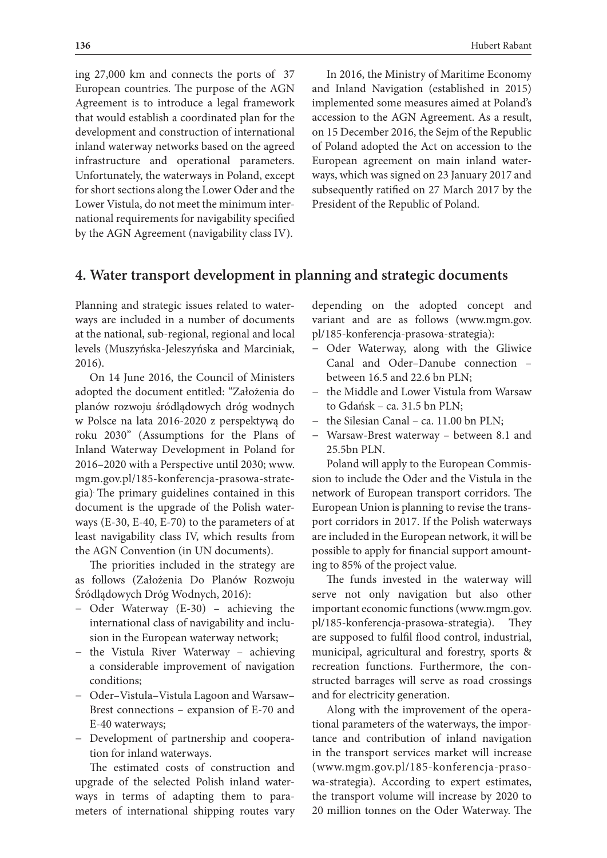ing 27,000 km and connects the ports of 37 European countries. The purpose of the AGN Agreement is to introduce a legal framework that would establish a coordinated plan for the development and construction of international inland waterway networks based on the agreed infrastructure and operational parameters. Unfortunately, the waterways in Poland, except for short sections along the Lower Oder and the Lower Vistula, do not meet the minimum international requirements for navigability specified by the AGN Agreement (navigability class IV).

In 2016, the Ministry of Maritime Economy and Inland Navigation (established in 2015) implemented some measures aimed at Poland's accession to the AGN Agreement. As a result, on 15 December 2016, the Sejm of the Republic of Poland adopted the Act on accession to the European agreement on main inland waterways, which was signed on 23 January 2017 and subsequently ratified on 27 March 2017 by the President of the Republic of Poland.

### **4. Water transport development in planning and strategic documents**

Planning and strategic issues related to waterways are included in a number of documents at the national, sub-regional, regional and local levels (Muszyńska-Jeleszyńska and Marciniak, 2016).

On 14 June 2016, the Council of Ministers adopted the document entitled: "Założenia do planów rozwoju śródlądowych dróg wodnych w Polsce na lata 2016-2020 z perspektywą do roku 2030" (Assumptions for the Plans of Inland Waterway Development in Poland for 2016–2020 with a Perspective until 2030; www. mgm.gov.pl/185-konferencja-prasowa-strategia). The primary guidelines contained in this document is the upgrade of the Polish waterways (E-30, E-40, E-70) to the parameters of at least navigability class IV, which results from the AGN Convention (in UN documents).

The priorities included in the strategy are as follows (Założenia Do Planów Rozwoju Śródlądowych Dróg Wodnych, 2016):

- − Oder Waterway (E-30) achieving the international class of navigability and inclusion in the European waterway network;
- − the Vistula River Waterway achieving a considerable improvement of navigation conditions;
- − Oder–Vistula–Vistula Lagoon and Warsaw– Brest connections – expansion of E-70 and E-40 waterways;
- − Development of partnership and cooperation for inland waterways.

The estimated costs of construction and upgrade of the selected Polish inland waterways in terms of adapting them to parameters of international shipping routes vary depending on the adopted concept and variant and are as follows (www.mgm.gov. pl/185-konferencja-prasowa-strategia):

- − Oder Waterway, along with the Gliwice Canal and Oder–Danube connection – between 16.5 and 22.6 bn PLN;
- − the Middle and Lower Vistula from Warsaw to Gdańsk – ca. 31.5 bn PLN;
- − the Silesian Canal ca. 11.00 bn PLN;
- − Warsaw-Brest waterway between 8.1 and 25.5bn PLN.

Poland will apply to the European Commission to include the Oder and the Vistula in the network of European transport corridors. The European Union is planning to revise the transport corridors in 2017. If the Polish waterways are included in the European network, it will be possible to apply for financial support amounting to 85% of the project value.

The funds invested in the waterway will serve not only navigation but also other important economic functions (www.mgm.gov. pl/185-konferencja-prasowa-strategia). They are supposed to fulfil flood control, industrial, municipal, agricultural and forestry, sports & recreation functions. Furthermore, the constructed barrages will serve as road crossings and for electricity generation.

Along with the improvement of the operational parameters of the waterways, the importance and contribution of inland navigation in the transport services market will increase (www.mgm.gov.pl/185-konferencja-prasowa-strategia). According to expert estimates, the transport volume will increase by 2020 to 20 million tonnes on the Oder Waterway. The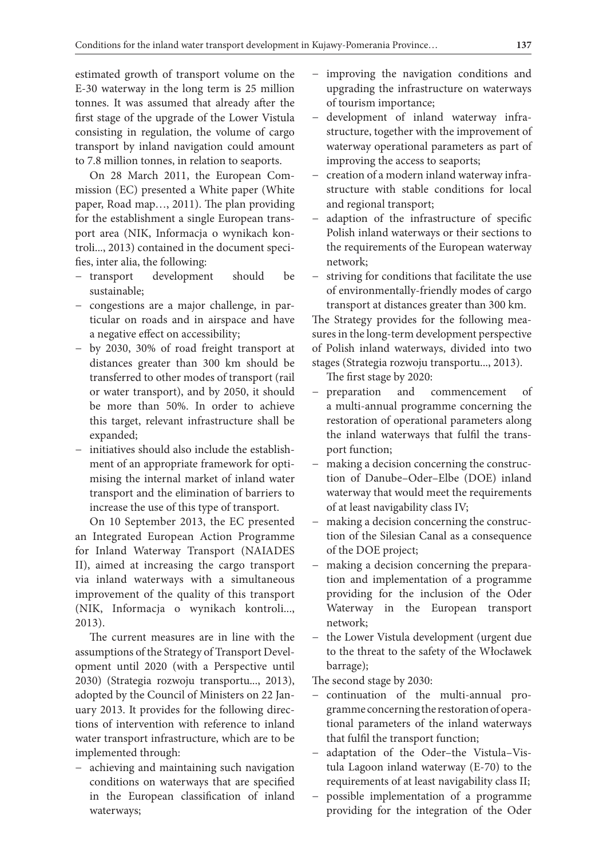estimated growth of transport volume on the E-30 waterway in the long term is 25 million tonnes. It was assumed that already after the first stage of the upgrade of the Lower Vistula consisting in regulation, the volume of cargo transport by inland navigation could amount to 7.8 million tonnes, in relation to seaports.

On 28 March 2011, the European Commission (EC) presented a White paper (White paper, Road map…, 2011). The plan providing for the establishment a single European transport area (NIK, Informacja o wynikach kontroli..., 2013) contained in the document specifies, inter alia, the following:

- − transport development should be sustainable;
- − congestions are a major challenge, in particular on roads and in airspace and have a negative effect on accessibility;
- − by 2030, 30% of road freight transport at distances greater than 300 km should be transferred to other modes of transport (rail or water transport), and by 2050, it should be more than 50%. In order to achieve this target, relevant infrastructure shall be expanded;
- − initiatives should also include the establishment of an appropriate framework for optimising the internal market of inland water transport and the elimination of barriers to increase the use of this type of transport.

On 10 September 2013, the EC presented an Integrated European Action Programme for Inland Waterway Transport (NAIADES II), aimed at increasing the cargo transport via inland waterways with a simultaneous improvement of the quality of this transport (NIK, Informacja o wynikach kontroli..., 2013).

The current measures are in line with the assumptions of the Strategy of Transport Development until 2020 (with a Perspective until 2030) (Strategia rozwoju transportu..., 2013), adopted by the Council of Ministers on 22 January 2013. It provides for the following directions of intervention with reference to inland water transport infrastructure, which are to be implemented through:

− achieving and maintaining such navigation conditions on waterways that are specified in the European classification of inland waterways;

- − improving the navigation conditions and upgrading the infrastructure on waterways of tourism importance;
- − development of inland waterway infrastructure, together with the improvement of waterway operational parameters as part of improving the access to seaports;
- − creation of a modern inland waterway infrastructure with stable conditions for local and regional transport;
- − adaption of the infrastructure of specific Polish inland waterways or their sections to the requirements of the European waterway network;
- − striving for conditions that facilitate the use of environmentally-friendly modes of cargo transport at distances greater than 300 km.

The Strategy provides for the following measures in the long-term development perspective of Polish inland waterways, divided into two stages (Strategia rozwoju transportu..., 2013).

The first stage by 2020:

- − preparation and commencement of a multi-annual programme concerning the restoration of operational parameters along the inland waterways that fulfil the transport function;
- − making a decision concerning the construction of Danube–Oder–Elbe (DOE) inland waterway that would meet the requirements of at least navigability class IV;
- − making a decision concerning the construction of the Silesian Canal as a consequence of the DOE project;
- − making a decision concerning the preparation and implementation of a programme providing for the inclusion of the Oder Waterway in the European transport network;
- − the Lower Vistula development (urgent due to the threat to the safety of the Włocławek barrage);

The second stage by 2030:

- − continuation of the multi-annual programme concerning the restoration of operational parameters of the inland waterways that fulfil the transport function;
- − adaptation of the Oder–the Vistula–Vistula Lagoon inland waterway (E-70) to the requirements of at least navigability class II;
- − possible implementation of a programme providing for the integration of the Oder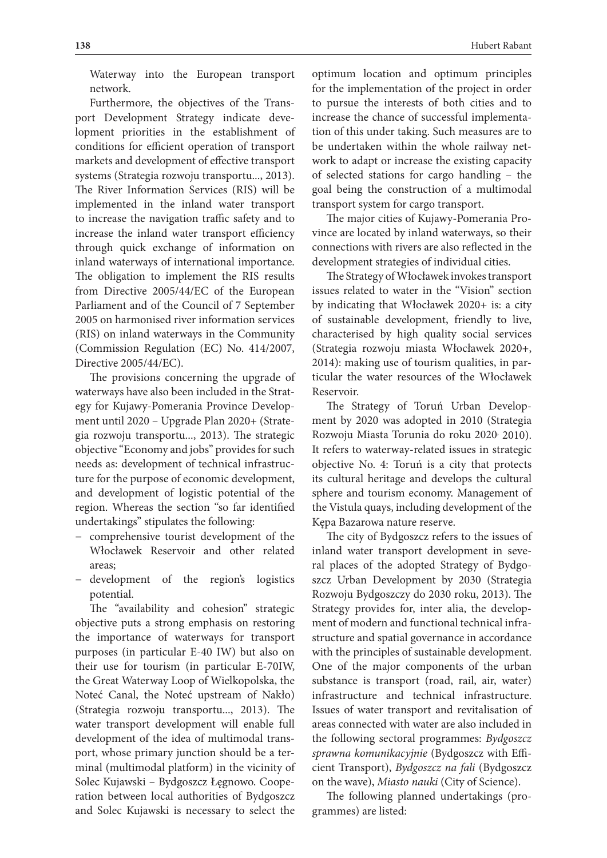Waterway into the European transport network.

Furthermore, the objectives of the Transport Development Strategy indicate development priorities in the establishment of conditions for efficient operation of transport markets and development of effective transport systems (Strategia rozwoju transportu..., 2013). The River Information Services (RIS) will be implemented in the inland water transport to increase the navigation traffic safety and to increase the inland water transport efficiency through quick exchange of information on inland waterways of international importance. The obligation to implement the RIS results from Directive 2005/44/EC of the European Parliament and of the Council of 7 September 2005 on harmonised river information services (RIS) on inland waterways in the Community (Commission Regulation (EC) No. 414/2007, Directive 2005/44/EC).

The provisions concerning the upgrade of waterways have also been included in the Strategy for Kujawy-Pomerania Province Development until 2020 – Upgrade Plan 2020+ (Strategia rozwoju transportu..., 2013). The strategic objective "Economy and jobs" provides for such needs as: development of technical infrastructure for the purpose of economic development, and development of logistic potential of the region. Whereas the section "so far identified undertakings" stipulates the following:

- − comprehensive tourist development of the Włocławek Reservoir and other related areas;
- − development of the region's logistics potential.

The "availability and cohesion" strategic objective puts a strong emphasis on restoring the importance of waterways for transport purposes (in particular E-40 IW) but also on their use for tourism (in particular E-70IW, the Great Waterway Loop of Wielkopolska, the Noteć Canal, the Noteć upstream of Nakło) (Strategia rozwoju transportu..., 2013). The water transport development will enable full development of the idea of multimodal transport, whose primary junction should be a terminal (multimodal platform) in the vicinity of Solec Kujawski – Bydgoszcz Łęgnowo. Cooperation between local authorities of Bydgoszcz and Solec Kujawski is necessary to select the

optimum location and optimum principles for the implementation of the project in order to pursue the interests of both cities and to increase the chance of successful implementation of this under taking. Such measures are to be undertaken within the whole railway network to adapt or increase the existing capacity of selected stations for cargo handling – the goal being the construction of a multimodal transport system for cargo transport.

The major cities of Kujawy-Pomerania Province are located by inland waterways, so their connections with rivers are also reflected in the development strategies of individual cities.

The Strategy of Włocławek invokes transport issues related to water in the "Vision" section by indicating that Włocławek 2020+ is: a city of sustainable development, friendly to live, characterised by high quality social services (Strategia rozwoju miasta Włocławek 2020+, 2014): making use of tourism qualities, in particular the water resources of the Włocławek Reservoir.

The Strategy of Toruń Urban Development by 2020 was adopted in 2010 (Strategia Rozwoju Miasta Torunia do roku 2020, 2010). It refers to waterway-related issues in strategic objective No. 4: Toruń is a city that protects its cultural heritage and develops the cultural sphere and tourism economy. Management of the Vistula quays, including development of the Kępa Bazarowa nature reserve.

The city of Bydgoszcz refers to the issues of inland water transport development in several places of the adopted Strategy of Bydgoszcz Urban Development by 2030 (Strategia Rozwoju Bydgoszczy do 2030 roku, 2013). The Strategy provides for, inter alia, the development of modern and functional technical infrastructure and spatial governance in accordance with the principles of sustainable development. One of the major components of the urban substance is transport (road, rail, air, water) infrastructure and technical infrastructure. Issues of water transport and revitalisation of areas connected with water are also included in the following sectoral programmes: *Bydgoszcz sprawna komunikacyjnie* (Bydgoszcz with Efficient Transport), *Bydgoszcz na fali* (Bydgoszcz on the wave), *Miasto nauki* (City of Science).

The following planned undertakings (programmes) are listed: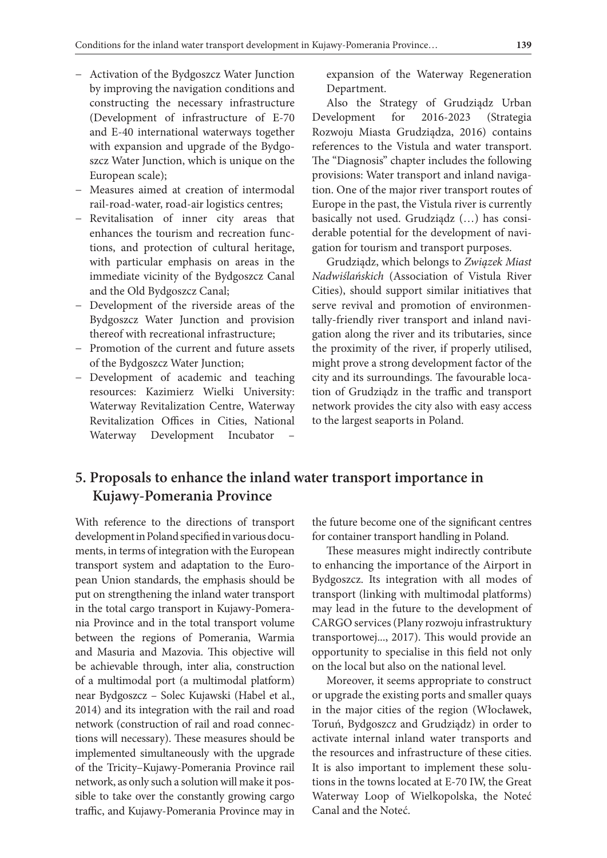- − Activation of the Bydgoszcz Water Junction by improving the navigation conditions and constructing the necessary infrastructure (Development of infrastructure of E-70 and E-40 international waterways together with expansion and upgrade of the Bydgoszcz Water Junction, which is unique on the European scale);
- − Measures aimed at creation of intermodal rail-road-water, road-air logistics centres;
- − Revitalisation of inner city areas that enhances the tourism and recreation functions, and protection of cultural heritage, with particular emphasis on areas in the immediate vicinity of the Bydgoszcz Canal and the Old Bydgoszcz Canal;
- − Development of the riverside areas of the Bydgoszcz Water Junction and provision thereof with recreational infrastructure;
- − Promotion of the current and future assets of the Bydgoszcz Water Junction;
- − Development of academic and teaching resources: Kazimierz Wielki University: Waterway Revitalization Centre, Waterway Revitalization Offices in Cities, National Waterway Development Incubator –

expansion of the Waterway Regeneration Department.

Also the Strategy of Grudziądz Urban Development for 2016-2023 (Strategia Rozwoju Miasta Grudziądza, 2016) contains references to the Vistula and water transport. The "Diagnosis" chapter includes the following provisions: Water transport and inland navigation. One of the major river transport routes of Europe in the past, the Vistula river is currently basically not used. Grudziądz (…) has considerable potential for the development of navigation for tourism and transport purposes.

Grudziądz, which belongs to *Związek Miast Nadwiślańskich* (Association of Vistula River Cities), should support similar initiatives that serve revival and promotion of environmentally-friendly river transport and inland navigation along the river and its tributaries, since the proximity of the river, if properly utilised, might prove a strong development factor of the city and its surroundings. The favourable location of Grudziądz in the traffic and transport network provides the city also with easy access to the largest seaports in Poland.

## **5. Proposals to enhance the inland water transport importance in Kujawy-Pomerania Province**

With reference to the directions of transport development in Poland specified in various documents, in terms of integration with the European transport system and adaptation to the European Union standards, the emphasis should be put on strengthening the inland water transport in the total cargo transport in Kujawy-Pomerania Province and in the total transport volume between the regions of Pomerania, Warmia and Masuria and Mazovia. This objective will be achievable through, inter alia, construction of a multimodal port (a multimodal platform) near Bydgoszcz – Solec Kujawski (Habel et al., 2014) and its integration with the rail and road network (construction of rail and road connections will necessary). These measures should be implemented simultaneously with the upgrade of the Tricity–Kujawy-Pomerania Province rail network, as only such a solution will make it possible to take over the constantly growing cargo traffic, and Kujawy-Pomerania Province may in

the future become one of the significant centres for container transport handling in Poland.

These measures might indirectly contribute to enhancing the importance of the Airport in Bydgoszcz. Its integration with all modes of transport (linking with multimodal platforms) may lead in the future to the development of CARGO services (Plany rozwoju infrastruktury transportowej..., 2017). This would provide an opportunity to specialise in this field not only on the local but also on the national level.

Moreover, it seems appropriate to construct or upgrade the existing ports and smaller quays in the major cities of the region (Włocławek, Toruń, Bydgoszcz and Grudziądz) in order to activate internal inland water transports and the resources and infrastructure of these cities. It is also important to implement these solutions in the towns located at E-70 IW, the Great Waterway Loop of Wielkopolska, the Noteć Canal and the Noteć.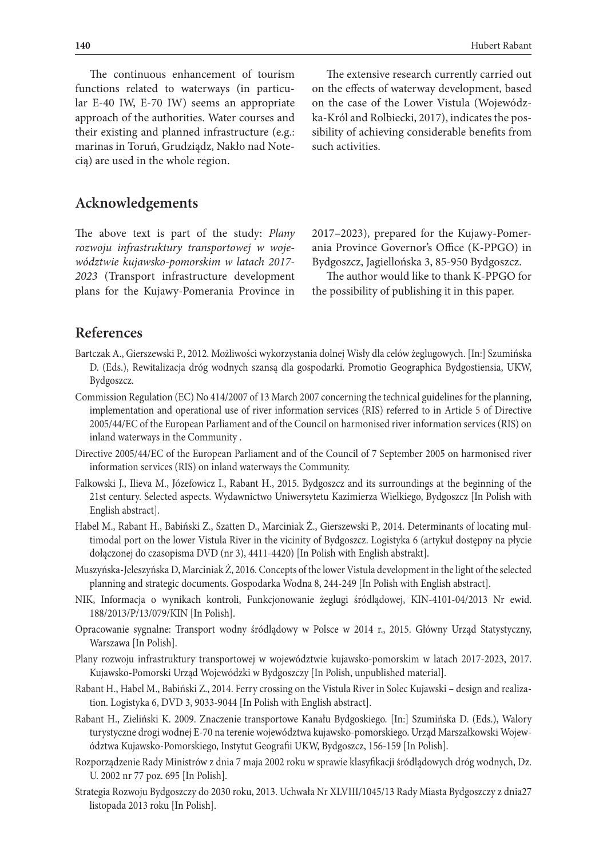The continuous enhancement of tourism functions related to waterways (in particular E-40 IW, E-70 IW) seems an appropriate approach of the authorities. Water courses and their existing and planned infrastructure (e.g.: marinas in Toruń, Grudziądz, Nakło nad Notecią) are used in the whole region.

**Acknowledgements**

The above text is part of the study: *Plany rozwoju infrastruktury transportowej w województwie kujawsko-pomorskim w latach 2017- 2023* (Transport infrastructure development plans for the Kujawy-Pomerania Province in

The extensive research currently carried out on the effects of waterway development, based on the case of the Lower Vistula (Wojewódzka-Król and Rolbiecki, 2017), indicates the possibility of achieving considerable benefits from such activities.

2017–2023), prepared for the Kujawy-Pomerania Province Governor's Office (K-PPGO) in Bydgoszcz, Jagiellońska 3, 85-950 Bydgoszcz.

The author would like to thank K-PPGO for the possibility of publishing it in this paper.

### **References**

- Bartczak A., Gierszewski P., 2012. Możliwości wykorzystania dolnej Wisły dla celów żeglugowych. [In:] Szumińska D. (Eds.), Rewitalizacja dróg wodnych szansą dla gospodarki. Promotio Geographica Bydgostiensia, UKW, Bydgoszcz.
- Commission Regulation (EC) No 414/2007 of 13 March 2007 concerning the technical guidelines for the planning, implementation and operational use of river information services (RIS) referred to in Article 5 of Directive 2005/44/EC of the European Parliament and of the Council on harmonised river information services (RIS) on inland waterways in the Community .
- Directive 2005/44/EC of the European Parliament and of the Council of 7 September 2005 on harmonised river information services (RIS) on inland waterways the Community.
- Falkowski J., Ilieva M., Józefowicz I., Rabant H., 2015. Bydgoszcz and its surroundings at the beginning of the 21st century. Selected aspects. Wydawnictwo Uniwersytetu Kazimierza Wielkiego, Bydgoszcz [In Polish with English abstract].
- Habel M., Rabant H., Babiński Z., Szatten D., Marciniak Ż., Gierszewski P., 2014. Determinants of locating multimodal port on the lower Vistula River in the vicinity of Bydgoszcz. Logistyka 6 (artykuł dostępny na płycie dołączonej do czasopisma DVD (nr 3), 4411-4420) [In Polish with English abstrakt].
- Muszyńska-Jeleszyńska D, Marciniak Ż, 2016. Concepts of the lower Vistula development in the light of the selected planning and strategic documents. Gospodarka Wodna 8, 244-249 [In Polish with English abstract].
- NIK, Informacja o wynikach kontroli, Funkcjonowanie żeglugi śródlądowej, KIN-4101-04/2013 Nr ewid. 188/2013/P/13/079/KIN [In Polish].
- Opracowanie sygnalne: Transport wodny śródlądowy w Polsce w 2014 r., 2015. Główny Urząd Statystyczny, Warszawa [In Polish].
- Plany rozwoju infrastruktury transportowej w województwie kujawsko-pomorskim w latach 2017-2023, 2017. Kujawsko-Pomorski Urząd Wojewódzki w Bydgoszczy [In Polish, unpublished material].
- Rabant H., Habel M., Babiński Z., 2014. Ferry crossing on the Vistula River in Solec Kujawski design and realization. Logistyka 6, DVD 3, 9033-9044 [In Polish with English abstract].
- Rabant H., Zieliński K. 2009. Znaczenie transportowe Kanału Bydgoskiego. [In:] Szumińska D. (Eds.), Walory turystyczne drogi wodnej E-70 na terenie województwa kujawsko-pomorskiego. Urząd Marszałkowski Województwa Kujawsko-Pomorskiego, Instytut Geografii UKW, Bydgoszcz, 156-159 [In Polish].
- Rozporządzenie Rady Ministrów z dnia 7 maja 2002 roku w sprawie klasyfikacji śródlądowych dróg wodnych, Dz. U. 2002 nr 77 poz. 695 [In Polish].
- Strategia Rozwoju Bydgoszczy do 2030 roku, 2013. Uchwała Nr XLVIII/1045/13 Rady Miasta Bydgoszczy z dnia27 listopada 2013 roku [In Polish].